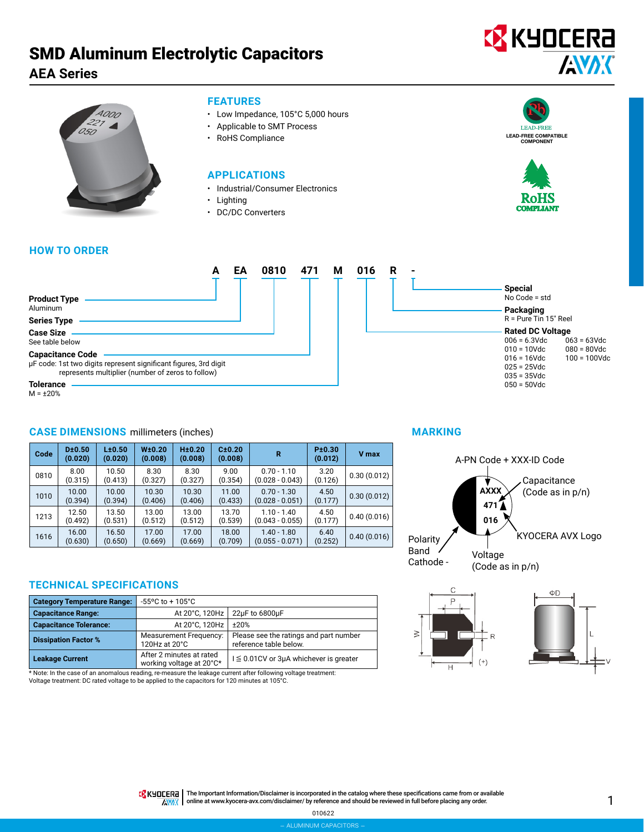**AEA Series**





### **FEATURES**

- Low Impedance, 105°C 5,000 hours
- Applicable to SMT Process
- RoHS Compliance

### **APPLICATIONS**

- Industrial/Consumer Electronics
- Lighting
- DC/DC Converters





# **HOW TO ORDER**



# **CASE DIMENSIONS** millimeters (inches)

| Code | D±0.50<br>(0.020) | L±0.50<br>(0.020) | W±0.20<br>(0.008) | H±0.20<br>(0.008) | C±0.20<br>(0.008) | R                                  | P±0.30<br>(0.012) | V max       |
|------|-------------------|-------------------|-------------------|-------------------|-------------------|------------------------------------|-------------------|-------------|
| 0810 | 8.00<br>(0.315)   | 10.50<br>(0.413)  | 8.30<br>(0.327)   | 8.30<br>(0.327)   | 9.00<br>(0.354)   | $0.70 - 1.10$<br>$(0.028 - 0.043)$ | 3.20<br>(0.126)   | 0.30(0.012) |
| 1010 | 10.00<br>(0.394)  | 10.00<br>(0.394)  | 10.30<br>(0.406)  | 10.30<br>(0.406)  | 11.00<br>(0.433)  | $0.70 - 1.30$<br>$(0.028 - 0.051)$ | 4.50<br>(0.177)   | 0.30(0.012) |
| 1213 | 12.50<br>(0.492)  | 13.50<br>(0.531)  | 13.00<br>(0.512)  | 13.00<br>(0.512)  | 13.70<br>(0.539)  | $1.10 - 1.40$<br>$(0.043 - 0.055)$ | 4.50<br>(0.177)   | 0.40(0.016) |
| 1616 | 16.00<br>(0.630)  | 16.50<br>(0.650)  | 17.00<br>(0.669)  | 17.00<br>(0.669)  | 18.00<br>(0.709)  | $1.40 - 1.80$<br>$(0.055 - 0.071)$ | 6.40<br>(0.252)   | 0.40(0.016) |

**MARKING**



# ФП P  $\geq$  $H$

# **TECHNICAL SPECIFICATIONS**

| <b>Category Temperature Range:</b> | $-55^{\circ}$ C to + 105 $^{\circ}$ C                |                                                                  |
|------------------------------------|------------------------------------------------------|------------------------------------------------------------------|
| <b>Capacitance Range:</b>          |                                                      | At 20°C, 120Hz   22µF to 6800µF                                  |
| <b>Capacitance Tolerance:</b>      | At 20°C, 120Hz                                       | ±20%                                                             |
| <b>Dissipation Factor %</b>        | <b>Measurement Frequency:</b><br>120Hz at 20°C       | Please see the ratings and part number<br>reference table below. |
| <b>Leakage Current</b>             | After 2 minutes at rated<br>working voltage at 20°C* | $I \leq 0.01$ CV or 3µA whichever is greater                     |

\* Note: In the case of an anomalous reading, re-measure the leakage current after following voltage treatment: Voltage treatment: DC rated voltage to be applied to the capacitors for 120 minutes at 105°C.

> **TA** KHOCER<sub>E</sub> | The Important Information/Disclaimer is incorporated in the catalog where these specifications came from or available AVAX online at [www.kyocera-avx.com/disclaimer/](http://www.kyocera-avx.com/disclaimer/) by reference and should be reviewed in full before placing any order.

1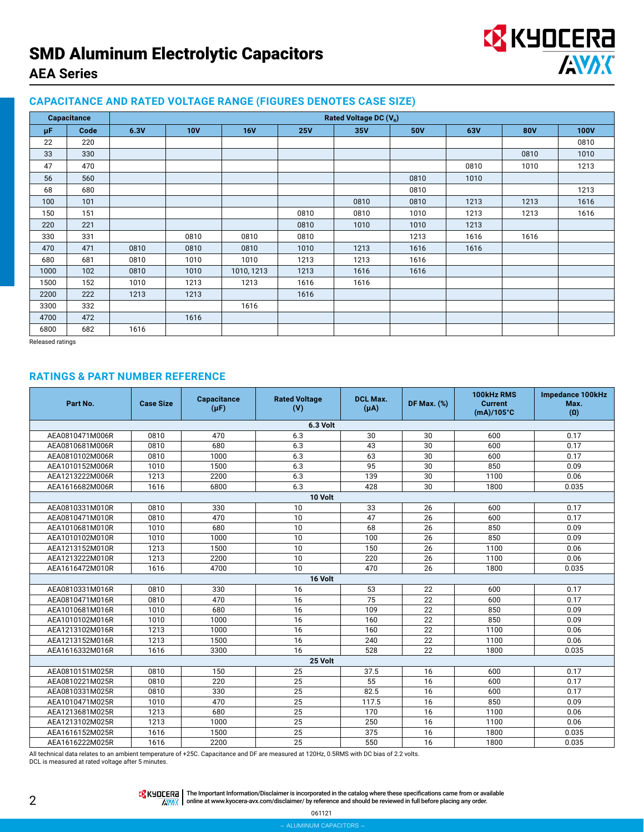# SMD Aluminum Electrolytic Capacitors **AEA Series**



# **CAPACITANCE AND RATED VOLTAGE RANGE (FIGURES DENOTES CASE SIZE)**

|      | Capacitance |      |            |            |            | Rated Voltage DC $(V_R)$ |            |      |            |             |
|------|-------------|------|------------|------------|------------|--------------------------|------------|------|------------|-------------|
| μF   | Code        | 6.3V | <b>10V</b> | <b>16V</b> | <b>25V</b> | 35V                      | <b>50V</b> | 63V  | <b>80V</b> | <b>100V</b> |
| 22   | 220         |      |            |            |            |                          |            |      |            | 0810        |
| 33   | 330         |      |            |            |            |                          |            |      | 0810       | 1010        |
| 47   | 470         |      |            |            |            |                          |            | 0810 | 1010       | 1213        |
| 56   | 560         |      |            |            |            |                          | 0810       | 1010 |            |             |
| 68   | 680         |      |            |            |            |                          | 0810       |      |            | 1213        |
| 100  | 101         |      |            |            |            | 0810                     | 0810       | 1213 | 1213       | 1616        |
| 150  | 151         |      |            |            | 0810       | 0810                     | 1010       | 1213 | 1213       | 1616        |
| 220  | 221         |      |            |            | 0810       | 1010                     | 1010       | 1213 |            |             |
| 330  | 331         |      | 0810       | 0810       | 0810       |                          | 1213       | 1616 | 1616       |             |
| 470  | 471         | 0810 | 0810       | 0810       | 1010       | 1213                     | 1616       | 1616 |            |             |
| 680  | 681         | 0810 | 1010       | 1010       | 1213       | 1213                     | 1616       |      |            |             |
| 1000 | 102         | 0810 | 1010       | 1010, 1213 | 1213       | 1616                     | 1616       |      |            |             |
| 1500 | 152         | 1010 | 1213       | 1213       | 1616       | 1616                     |            |      |            |             |
| 2200 | 222         | 1213 | 1213       |            | 1616       |                          |            |      |            |             |
| 3300 | 332         |      |            | 1616       |            |                          |            |      |            |             |
| 4700 | 472         |      | 1616       |            |            |                          |            |      |            |             |
| 6800 | 682         | 1616 |            |            |            |                          |            |      |            |             |

Released ratings

# **RATINGS & PART NUMBER REFERENCE**

| Part No.        | <b>Case Size</b> | Capacitance<br>$(\mu F)$ | <b>Rated Voltage</b><br>(V) | <b>DCL Max.</b><br>$(\mu A)$ | <b>DF Max. (%)</b> | 100kHz RMS<br><b>Current</b><br>$(mA)/105^{\circ}C$ | Impedance 100kHz<br>Max.<br>(0) |
|-----------------|------------------|--------------------------|-----------------------------|------------------------------|--------------------|-----------------------------------------------------|---------------------------------|
|                 |                  |                          | 6.3 Volt                    |                              |                    |                                                     |                                 |
| AEA0810471M006R | 0810             | 470                      | 6.3                         | 30                           | 30                 | 600                                                 | 0.17                            |
| AEA0810681M006R | 0810             | 680                      | 6.3                         | 43                           | 30                 | 600                                                 | 0.17                            |
| AEA0810102M006R | 0810             | 1000                     | 6.3                         | 63                           | 30                 | 600                                                 | 0.17                            |
| AEA1010152M006R | 1010             | 1500                     | 6.3                         | 95                           | 30                 | 850                                                 | 0.09                            |
| AEA1213222M006R | 1213             | 2200                     | 6.3                         | 139                          | 30                 | 1100                                                | 0.06                            |
| AEA1616682M006R | 1616             | 6800                     | 6.3                         | 428                          | 30                 | 1800                                                | 0.035                           |
|                 |                  |                          | 10 Volt                     |                              |                    |                                                     |                                 |
| AEA0810331M010R | 0810             | 330                      | 10                          | 33                           | 26                 | 600                                                 | 0.17                            |
| AEA0810471M010R | 0810             | 470                      | 10                          | 47                           | 26                 | 600                                                 | 0.17                            |
| AEA1010681M010R | 1010             | 680                      | 10                          | 68                           | 26                 | 850                                                 | 0.09                            |
| AEA1010102M010R | 1010             | 1000                     | 10                          | 100                          | 26                 | 850                                                 | 0.09                            |
| AEA1213152M010R | 1213             | 1500                     | 10                          | 150                          | 26                 | 1100                                                | 0.06                            |
| AEA1213222M010R | 1213             | 2200                     | 10                          | 220                          | 26                 | 1100                                                | 0.06                            |
| AEA1616472M010R | 1616             | 4700                     | 10                          | 470                          | 26                 | 1800                                                | 0.035                           |
|                 |                  |                          | 16 Volt                     |                              |                    |                                                     |                                 |
| AEA0810331M016R | 0810             | 330                      | 16                          | 53                           | 22                 | 600                                                 | 0.17                            |
| AEA0810471M016R | 0810             | 470                      | 16                          | 75                           | 22                 | 600                                                 | 0.17                            |
| AEA1010681M016R | 1010             | 680                      | 16                          | 109                          | 22                 | 850                                                 | 0.09                            |
| AEA1010102M016R | 1010             | 1000                     | 16                          | 160                          | 22                 | 850                                                 | 0.09                            |
| AEA1213102M016R | 1213             | 1000                     | 16                          | 160                          | 22                 | 1100                                                | 0.06                            |
| AEA1213152M016R | 1213             | 1500                     | 16                          | 240                          | 22                 | 1100                                                | 0.06                            |
| AEA1616332M016R | 1616             | 3300                     | 16                          | 528                          | 22                 | 1800                                                | 0.035                           |
|                 |                  |                          | 25 Volt                     |                              |                    |                                                     |                                 |
| AEA0810151M025R | 0810             | 150                      | 25                          | 37.5                         | 16                 | 600                                                 | 0.17                            |
| AEA0810221M025R | 0810             | 220                      | 25                          | 55                           | 16                 | 600                                                 | 0.17                            |
| AEA0810331M025R | 0810             | 330                      | 25                          | 82.5                         | 16                 | 600                                                 | 0.17                            |
| AEA1010471M025R | 1010             | 470                      | 25                          | 117.5                        | 16                 | 850                                                 | 0.09                            |
| AEA1213681M025R | 1213             | 680                      | 25                          | 170                          | 16                 | 1100                                                | 0.06                            |
| AEA1213102M025R | 1213             | 1000                     | 25                          | 250                          | 16                 | 1100                                                | 0.06                            |
| AEA1616152M025R | 1616             | 1500                     | 25                          | 375                          | 16                 | 1800                                                | 0.035                           |
| AEA1616222M025R | 1616             | 2200                     | 25                          | 550                          | 16                 | 1800                                                | 0.035                           |

All technical data relates to an ambient temperature of +25C. Capacitance and DF are measured at 120Hz, 0.5RMS with DC bias of 2.2 volts. DCL is measured at rated voltage after 5 minutes.

The Important Information/Disclaimer is incorporated in the catalog where these specifications came from or available<br>online at [www.kyocera-avx.com/disclaimer/](http://www.kyocera-avx.com/disclaimer/) by reference and should be reviewed in full before placing any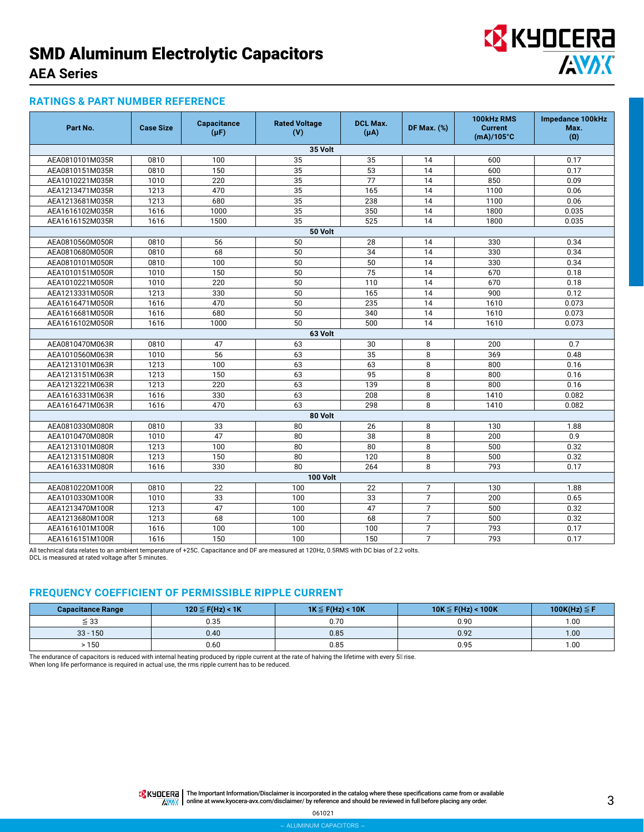

# **AEA Series**

### **RATINGS & PART NUMBER REFERENCE**

| Part No.        | <b>Case Size</b> | Capacitance<br>$(\mu F)$ | <b>Rated Voltage</b><br>(V) | <b>DCL Max.</b><br>$(\mu A)$ | <b>DF Max.</b> (%) | 100kHz RMS<br><b>Current</b><br>$(mA)/105^{\circ}C$ | Impedance 100kHz<br>Max.<br>$(\Omega)$ |
|-----------------|------------------|--------------------------|-----------------------------|------------------------------|--------------------|-----------------------------------------------------|----------------------------------------|
|                 |                  |                          | 35 Volt                     |                              |                    |                                                     |                                        |
| AEA0810101M035R | 0810             | 100                      | 35                          | 35                           | 14                 | 600                                                 | 0.17                                   |
| AEA0810151M035R | 0810             | 150                      | 35                          | 53                           | 14                 | 600                                                 | 0.17                                   |
| AEA1010221M035R | 1010             | 220                      | 35                          | $\overline{77}$              | $\overline{14}$    | 850                                                 | 0.09                                   |
| AEA1213471M035R | 1213             | 470                      | 35                          | 165                          | 14                 | 1100                                                | 0.06                                   |
| AEA1213681M035R | 1213             | 680                      | 35                          | 238                          | 14                 | 1100                                                | 0.06                                   |
| AEA1616102M035R | 1616             | 1000                     | 35                          | 350                          | 14                 | 1800                                                | 0.035                                  |
| AEA1616152M035R | 1616             | 1500                     | $\overline{35}$             | 525                          | 14                 | 1800                                                | 0.035                                  |
|                 |                  |                          | 50 Volt                     |                              |                    |                                                     |                                        |
| AEA0810560M050R | 0810             | 56                       | 50                          | 28                           | 14                 | 330                                                 | 0.34                                   |
| AEA0810680M050R | 0810             | 68                       | 50                          | 34                           | 14                 | 330                                                 | 0.34                                   |
| AEA0810101M050R | 0810             | 100                      | 50                          | 50                           | 14                 | 330                                                 | 0.34                                   |
| AEA1010151M050R | 1010             | 150                      | 50                          | 75                           | 14                 | 670                                                 | 0.18                                   |
| AEA1010221M050R | 1010             | 220                      | 50                          | 110                          | 14                 | 670                                                 | 0.18                                   |
| AEA1213331M050R | 1213             | 330                      | 50                          | 165                          | 14                 | 900                                                 | 0.12                                   |
| AEA1616471M050R | 1616             | 470                      | 50                          | 235                          | 14                 | 1610                                                | 0.073                                  |
| AEA1616681M050R | 1616             | 680                      | 50                          | 340                          | 14                 | 1610                                                | 0.073                                  |
| AEA1616102M050R | 1616             | 1000                     | 50                          | 500                          | 14                 | 1610                                                | 0.073                                  |
|                 |                  |                          | 63 Volt                     |                              |                    |                                                     |                                        |
| AEA0810470M063R | 0810             | 47                       | 63                          | 30                           | 8                  | 200                                                 | 0.7                                    |
| AEA1010560M063R | 1010             | 56                       | 63                          | 35                           | 8                  | 369                                                 | 0.48                                   |
| AEA1213101M063R | 1213             | 100                      | 63                          | 63                           | 8                  | 800                                                 | 0.16                                   |
| AEA1213151M063R | 1213             | 150                      | 63                          | 95                           | 8                  | 800                                                 | 0.16                                   |
| AEA1213221M063R | 1213             | 220                      | 63                          | 139                          | 8                  | 800                                                 | 0.16                                   |
| AEA1616331M063R | 1616             | 330                      | 63                          | 208                          | 8                  | 1410                                                | 0.082                                  |
| AEA1616471M063R | 1616             | 470                      | 63                          | 298                          | 8                  | 1410                                                | 0.082                                  |
|                 |                  |                          | 80 Volt                     |                              |                    |                                                     |                                        |
| AEA0810330M080R | 0810             | 33                       | 80                          | 26                           | 8                  | 130                                                 | 1.88                                   |
| AEA1010470M080R | 1010             | 47                       | 80                          | 38                           | 8                  | 200                                                 | 0.9                                    |
| AEA1213101M080R | 1213             | 100                      | 80                          | 80                           | 8                  | 500                                                 | 0.32                                   |
| AEA1213151M080R | 1213             | 150                      | 80                          | 120                          | 8                  | 500                                                 | 0.32                                   |
| AEA1616331M080R | 1616             | 330                      | 80                          | 264                          | 8                  | 793                                                 | 0.17                                   |
|                 |                  |                          | <b>100 Volt</b>             |                              |                    |                                                     |                                        |
| AEA0810220M100R | 0810             | 22                       | 100                         | 22                           | 7                  | 130                                                 | 1.88                                   |
| AEA1010330M100R | 1010             | 33                       | 100                         | 33                           | $\overline{7}$     | 200                                                 | 0.65                                   |
| AEA1213470M100R | 1213             | 47                       | 100                         | 47                           | $\overline{7}$     | 500                                                 | 0.32                                   |
| AEA1213680M100R | 1213             | 68                       | 100                         | 68                           | $\overline{7}$     | 500                                                 | 0.32                                   |
| AEA1616101M100R | 1616             | 100                      | 100                         | 100                          | $\overline{7}$     | 793                                                 | 0.17                                   |
| AEA1616151M100R | 1616             | 150                      | 100                         | 150                          | $\overline{7}$     | 793                                                 | 0.17                                   |

All technical data relates to an ambient temperature of +25C. Capacitance and DF are measured at 120Hz, 0.5RMS with DC bias of 2.2 volts. DCL is measured at rated voltage after 5 minutes.

# **FREQUENCY COEFFICIENT OF PERMISSIBLE RIPPLE CURRENT**

| <b>Capacitance Range</b> | $120 \leq F(Hz) < 1K$ | $1K \leq F(Hz) < 10K$ | $10K \leq F(Hz) < 100K$ | 100K(Hz) $\leq$ F |
|--------------------------|-----------------------|-----------------------|-------------------------|-------------------|
| $\leq 33$                | 0.35                  | 0.70                  | 0.90                    | .00               |
| $33 - 150$               | 0.40                  | 0.85                  | 0.92                    | .00.              |
| - 150                    | 0.60                  | 0.85                  | 0.95                    | .00               |

The endurance of capacitors is reduced with internal heating produced by ripple current at the rate of halving the lifetime with every 5〗 rise. When long life performance is required in actual use, the rms ripple current has to be reduced.

> TRINTERT | The Important Information/Disclaimer is incorporated in the catalog where these specifications came from or available AVAX online at [www.kyocera-avx.com/disclaimer/](http://www.kyocera-avx.com/disclaimer/) by reference and should be reviewed in full before placing any order.

> > 061021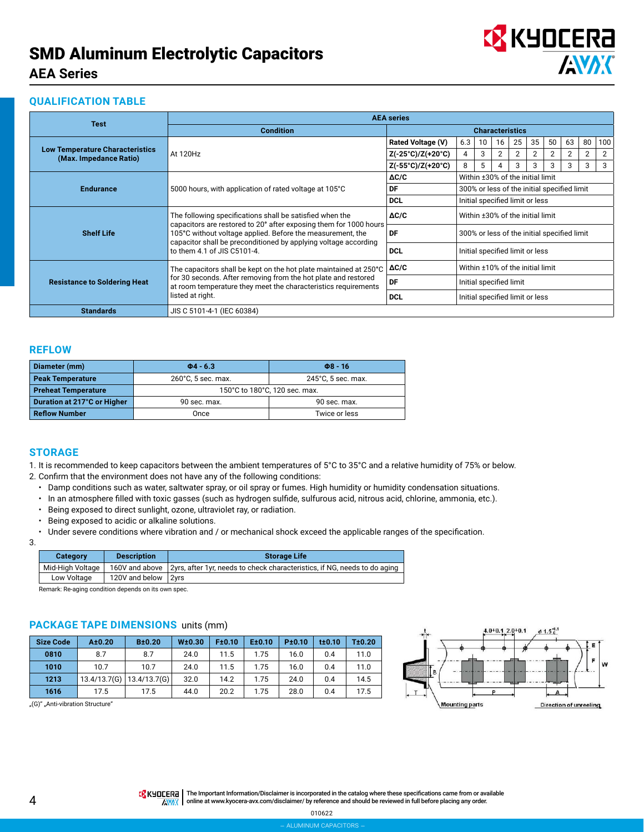# **AEA Series**

### **QUALIFICATION TABLE**

| <b>Test</b>                                                      |                                                                                                                                  | <b>AEA</b> series                 |                                             |    |    |                                  |    |                |                                             |                |     |
|------------------------------------------------------------------|----------------------------------------------------------------------------------------------------------------------------------|-----------------------------------|---------------------------------------------|----|----|----------------------------------|----|----------------|---------------------------------------------|----------------|-----|
|                                                                  | <b>Condition</b>                                                                                                                 | <b>Characteristics</b>            |                                             |    |    |                                  |    |                |                                             |                |     |
| <b>Low Temperature Characteristics</b><br>(Max. Impedance Ratio) |                                                                                                                                  | <b>Rated Voltage (V)</b>          | 6.3                                         | 10 | 16 | 25                               | 35 | 50             | 63                                          | 80             | 100 |
|                                                                  | At 120Hz                                                                                                                         | $Z(-25^{\circ}C)/Z(+20^{\circ}C)$ | 4                                           | 3  | 2  |                                  |    | $\overline{2}$ | $\overline{2}$                              | $\overline{2}$ | 2   |
|                                                                  |                                                                                                                                  | Z(-55°C)/Z(+20°C)                 | 8                                           | 5  |    | 3                                |    | 3              | 3                                           | 3              | 3   |
|                                                                  |                                                                                                                                  | $\Delta C/C$                      |                                             |    |    | Within ±30% of the initial limit |    |                |                                             |                |     |
| <b>Endurance</b>                                                 | 5000 hours, with application of rated voltage at 105°C                                                                           | DF                                |                                             |    |    |                                  |    |                | 300% or less of the initial specified limit |                |     |
|                                                                  |                                                                                                                                  | <b>DCL</b>                        | Initial specified limit or less             |    |    |                                  |    |                |                                             |                |     |
|                                                                  | The following specifications shall be satisfied when the<br>capacitors are restored to 20° after exposing them for 1000 hours    | $\Delta C/C$                      | Within ±30% of the initial limit            |    |    |                                  |    |                |                                             |                |     |
| <b>Shelf Life</b>                                                | 105°C without voltage applied. Before the measurement, the<br>capacitor shall be preconditioned by applying voltage according    | DF                                | 300% or less of the initial specified limit |    |    |                                  |    |                |                                             |                |     |
|                                                                  | to them 4.1 of JIS C5101-4.                                                                                                      | <b>DCL</b>                        | Initial specified limit or less             |    |    |                                  |    |                |                                             |                |     |
|                                                                  | The capacitors shall be kept on the hot plate maintained at 250°C                                                                | $\Delta C/C$                      | Within ±10% of the initial limit            |    |    |                                  |    |                |                                             |                |     |
| <b>Resistance to Soldering Heat</b>                              | for 30 seconds. After removing from the hot plate and restored<br>at room temperature they meet the characteristics requirements | DF                                | Initial specified limit                     |    |    |                                  |    |                |                                             |                |     |
|                                                                  | listed at right.                                                                                                                 | <b>DCL</b>                        | Initial specified limit or less             |    |    |                                  |    |                |                                             |                |     |
| <b>Standards</b>                                                 | JIS C 5101-4-1 (IEC 60384)                                                                                                       |                                   |                                             |    |    |                                  |    |                |                                             |                |     |

#### **REFLOW**

| Diameter (mm)               | $\Phi$ 4 - 6.3                                     | $\Phi$ 8 - 16                 |  |  |  |
|-----------------------------|----------------------------------------------------|-------------------------------|--|--|--|
| <b>Peak Temperature</b>     | $260^{\circ}$ C, 5 sec. max.<br>245°C, 5 sec. max. |                               |  |  |  |
| <b>Preheat Temperature</b>  |                                                    | 150°C to 180°C, 120 sec. max. |  |  |  |
| Duration at 217°C or Higher | 90 sec. max.                                       | 90 sec. max.                  |  |  |  |
| <b>Reflow Number</b>        | Once                                               | Twice or less                 |  |  |  |

#### **STORAGE**

1. It is recommended to keep capacitors between the ambient temperatures of 5°C to 35°C and a relative humidity of 75% or below.

- 2. Confirm that the environment does not have any of the following conditions:
	- Damp conditions such as water, saltwater spray, or oil spray or fumes. High humidity or humidity condensation situations.
	- In an atmosphere filled with toxic gasses (such as hydrogen sulfide, sulfurous acid, nitrous acid, chlorine, ammonia, etc.).
	- Being exposed to direct sunlight, ozone, ultraviolet ray, or radiation.
	- Being exposed to acidic or alkaline solutions.
	- Under severe conditions where vibration and / or mechanical shock exceed the applicable ranges of the specification.

| I<br>I  |  |
|---------|--|
| ×<br>۰. |  |

| <b>Category</b>  | <b>Description</b>  | <b>Storage Life</b>                                                                          |  |  |  |  |  |  |
|------------------|---------------------|----------------------------------------------------------------------------------------------|--|--|--|--|--|--|
| Mid-High Voltage |                     | 160V and above 2 2 yrs, after 1 yr, needs to check characteristics, if NG, needs to do aging |  |  |  |  |  |  |
| Low Voltage      | 120V and below 2yrs |                                                                                              |  |  |  |  |  |  |
|                  |                     |                                                                                              |  |  |  |  |  |  |

Remark: Re-aging condition depends on its own spec.

### **PACKAGE TAPE DIMENSIONS** units (mm)

| <b>Size Code</b> | A±0.20                      | B±0.20 | W±0.30 | F±0.10 | E±0.10 | P±0.10 | $t\pm0.10$ | T±0.20 |
|------------------|-----------------------------|--------|--------|--------|--------|--------|------------|--------|
| 0810             | 8.7                         | 8.7    | 24.0   | 11.5   | 1.75   | 16.0   | 0.4        | 11.0   |
| 1010             | 10.7                        | 10.7   | 24.0   | 11.5   | 1.75   | 16.0   | 0.4        | 11.0   |
| 1213             | 13.4/13.7(G)   13.4/13.7(G) |        | 32.0   | 14.2   | 1.75   | 24.0   | 0.4        | 14.5   |
| 1616             | 17.5                        | 17.5   | 44.0   | 20.2   | 1.75   | 28.0   | 0.4        | 17.5   |



**EX KYOCERA** 

**AVAK** 

"(G)" "Anti-vibration Structure"

THE Important Information/Disclaimer is incorporated in the catalog where these specifications came from or available **AVAK** online at [www.kyocera-avx.com/disclaimer/](http://www.kyocera-avx.com/disclaimer/) by reference and should be reviewed in full before placing any order.